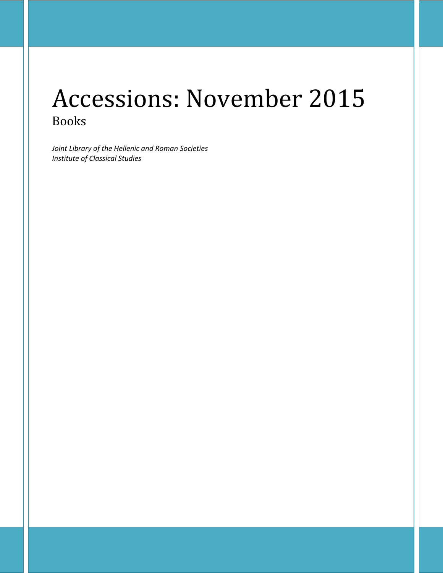# Accessions: November 2015 Books

*Joint Library of the Hellenic and Roman Societies Institute of Classical Studies*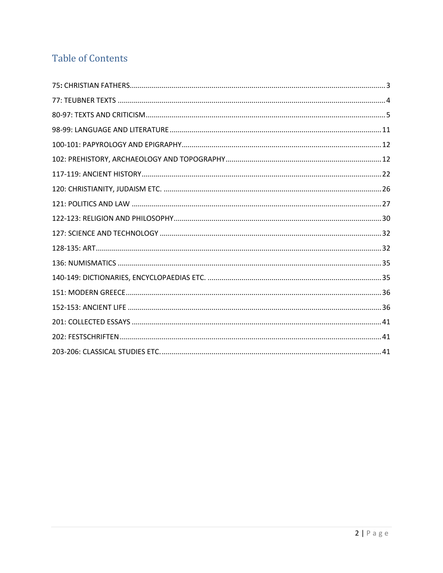## **Table of Contents**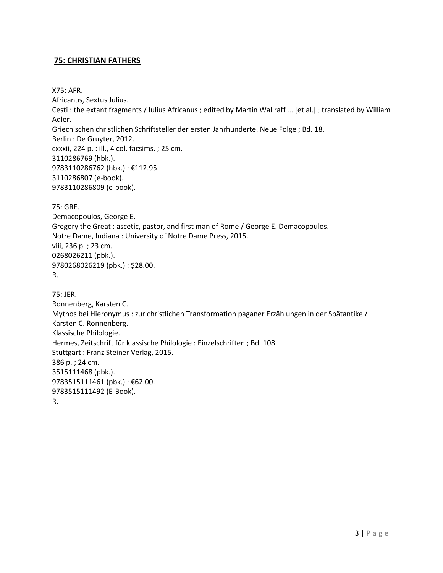#### <span id="page-2-0"></span>**75: CHRISTIAN FATHERS**

X75: AFR. Africanus, Sextus Julius. Cesti : the extant fragments / Iulius Africanus ; edited by Martin Wallraff ... [et al.] ; translated by William Adler. Griechischen christlichen Schriftsteller der ersten Jahrhunderte. Neue Folge ; Bd. 18. Berlin : De Gruyter, 2012. cxxxii, 224 p. : ill., 4 col. facsims. ; 25 cm. 3110286769 (hbk.). 9783110286762 (hbk.) : €112.95. 3110286807 (e-book). 9783110286809 (e-book).

75: GRE. Demacopoulos, George E. Gregory the Great : ascetic, pastor, and first man of Rome / George E. Demacopoulos. Notre Dame, Indiana : University of Notre Dame Press, 2015. viii, 236 p. ; 23 cm. 0268026211 (pbk.). 9780268026219 (pbk.) : \$28.00. R.

75: JER. Ronnenberg, Karsten C. Mythos bei Hieronymus : zur christlichen Transformation paganer Erzählungen in der Spätantike / Karsten C. Ronnenberg. Klassische Philologie. Hermes, Zeitschrift für klassische Philologie : Einzelschriften ; Bd. 108. Stuttgart : Franz Steiner Verlag, 2015. 386 p. ; 24 cm. 3515111468 (pbk.). 9783515111461 (pbk.): €62.00. 9783515111492 (E-Book). R.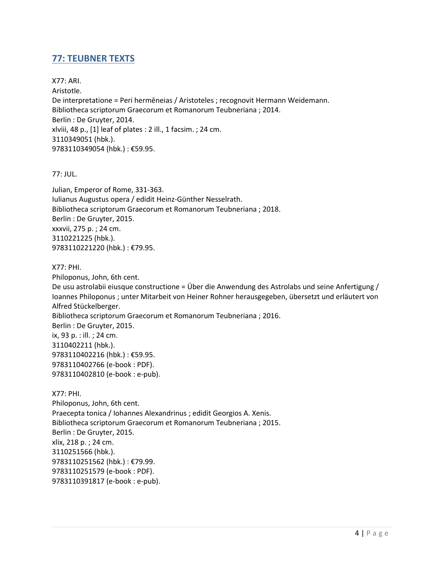## <span id="page-3-0"></span>**77: TEUBNER TEXTS**

X77: ARI. Aristotle. De interpretatione = Peri hermēneias / Aristoteles ; recognovit Hermann Weidemann. Bibliotheca scriptorum Graecorum et Romanorum Teubneriana ; 2014. Berlin : De Gruyter, 2014. xlviii, 48 p., [1] leaf of plates : 2 ill., 1 facsim. ; 24 cm. 3110349051 (hbk.). 9783110349054 (hbk.) : €59.95.

#### 77: JUL.

Julian, Emperor of Rome, 331-363. Iulianus Augustus opera / edidit Heinz-Günther Nesselrath. Bibliotheca scriptorum Graecorum et Romanorum Teubneriana ; 2018. Berlin : De Gruyter, 2015. xxxvii, 275 p. ; 24 cm. 3110221225 (hbk.). 9783110221220 (hbk.) : €79.95.

#### X77: PHI.

Philoponus, John, 6th cent. De usu astrolabii eiusque constructione = Über die Anwendung des Astrolabs und seine Anfertigung / Ioannes Philoponus ; unter Mitarbeit von Heiner Rohner herausgegeben, übersetzt und erläutert von Alfred Stückelberger. Bibliotheca scriptorum Graecorum et Romanorum Teubneriana ; 2016. Berlin : De Gruyter, 2015. ix, 93 p. : ill. ; 24 cm. 3110402211 (hbk.). 9783110402216 (hbk.) : €59.95. 9783110402766 (e-book : PDF). 9783110402810 (e-book : e-pub).

X77: PHI. Philoponus, John, 6th cent. Praecepta tonica / Iohannes Alexandrinus ; edidit Georgios A. Xenis. Bibliotheca scriptorum Graecorum et Romanorum Teubneriana ; 2015. Berlin : De Gruyter, 2015. xlix, 218 p. ; 24 cm. 3110251566 (hbk.). 9783110251562 (hbk.) : €79.99. 9783110251579 (e-book : PDF). 9783110391817 (e-book : e-pub).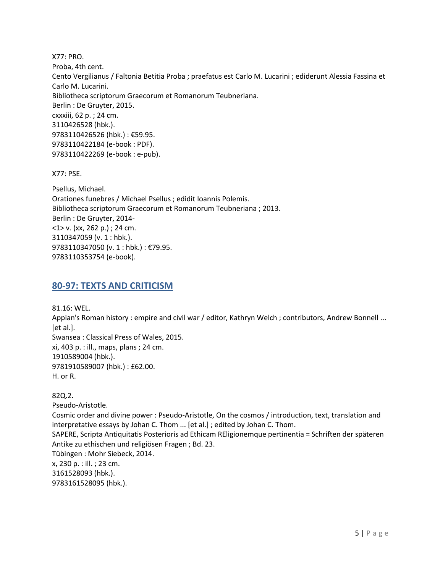X77: PRO. Proba, 4th cent. Cento Vergilianus / Faltonia Betitia Proba ; praefatus est Carlo M. Lucarini ; ediderunt Alessia Fassina et Carlo M. Lucarini. Bibliotheca scriptorum Graecorum et Romanorum Teubneriana. Berlin : De Gruyter, 2015. cxxxiii, 62 p. ; 24 cm. 3110426528 (hbk.). 9783110426526 (hbk.) : €59.95. 9783110422184 (e-book : PDF). 9783110422269 (e-book : e-pub).

X77: PSE.

Psellus, Michael. Orationes funebres / Michael Psellus ; edidit Ioannis Polemis. Bibliotheca scriptorum Graecorum et Romanorum Teubneriana ; 2013. Berlin : De Gruyter, 2014- <1> v. (xx, 262 p.) ; 24 cm. 3110347059 (v. 1 : hbk.). 9783110347050 (v. 1 : hbk.) : €79.95. 9783110353754 (e-book).

## <span id="page-4-0"></span>**80-97: TEXTS AND CRITICISM**

81.16: WEL. Appian's Roman history : empire and civil war / editor, Kathryn Welch ; contributors, Andrew Bonnell ... [et al.]. Swansea : Classical Press of Wales, 2015. xi, 403 p. : ill., maps, plans ; 24 cm. 1910589004 (hbk.). 9781910589007 (hbk.) : £62.00. H. or R.

82Q.2.

Pseudo-Aristotle. Cosmic order and divine power : Pseudo-Aristotle, On the cosmos / introduction, text, translation and interpretative essays by Johan C. Thom ... [et al.] ; edited by Johan C. Thom. SAPERE, Scripta Antiquitatis Posterioris ad Ethicam REligionemque pertinentia = Schriften der späteren Antike zu ethischen und religiösen Fragen ; Bd. 23. Tübingen : Mohr Siebeck, 2014. x, 230 p. : ill. ; 23 cm. 3161528093 (hbk.). 9783161528095 (hbk.).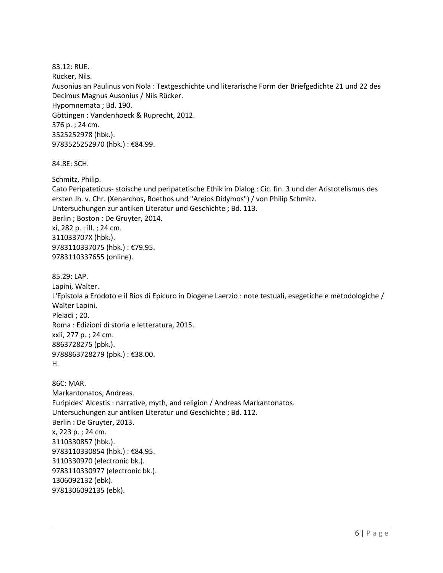83.12: RUE. Rücker, Nils. Ausonius an Paulinus von Nola : Textgeschichte und literarische Form der Briefgedichte 21 und 22 des Decimus Magnus Ausonius / Nils Rücker. Hypomnemata ; Bd. 190. Göttingen : Vandenhoeck & Ruprecht, 2012. 376 p. ; 24 cm. 3525252978 (hbk.). 9783525252970 (hbk.) : €84.99.

84.8E: SCH.

Schmitz, Philip.

Cato Peripateticus- stoische und peripatetische Ethik im Dialog : Cic. fin. 3 und der Aristotelismus des ersten Jh. v. Chr. (Xenarchos, Boethos und "Areios Didymos") / von Philip Schmitz. Untersuchungen zur antiken Literatur und Geschichte ; Bd. 113. Berlin ; Boston : De Gruyter, 2014. xi, 282 p. : ill. ; 24 cm. 311033707X (hbk.). 9783110337075 (hbk.) : €79.95. 9783110337655 (online).

85.29: LAP. Lapini, Walter. L'Epistola a Erodoto e il Bios di Epicuro in Diogene Laerzio : note testuali, esegetiche e metodologiche / Walter Lapini. Pleiadi ; 20. Roma : Edizioni di storia e letteratura, 2015. xxii, 277 p. ; 24 cm. 8863728275 (pbk.). 9788863728279 (pbk.) : €38.00. H.

86C: MAR. Markantonatos, Andreas. Euripides' Alcestis : narrative, myth, and religion / Andreas Markantonatos. Untersuchungen zur antiken Literatur und Geschichte ; Bd. 112. Berlin : De Gruyter, 2013. x, 223 p. ; 24 cm. 3110330857 (hbk.). 9783110330854 (hbk.) : €84.95. 3110330970 (electronic bk.). 9783110330977 (electronic bk.). 1306092132 (ebk). 9781306092135 (ebk).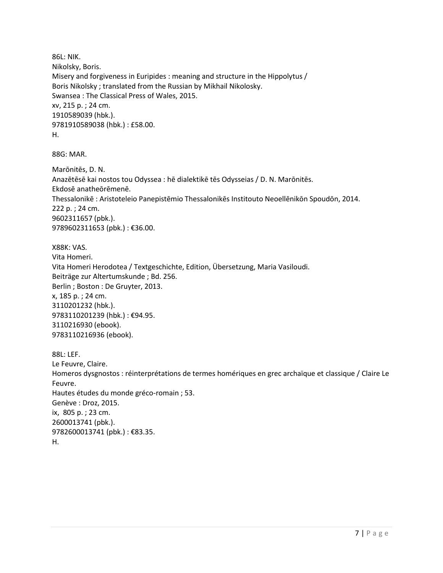86L: NIK. Nikolsky, Boris. Misery and forgiveness in Euripides : meaning and structure in the Hippolytus / Boris Nikolsky ; translated from the Russian by Mikhail Nikolosky. Swansea : The Classical Press of Wales, 2015. xv, 215 p. ; 24 cm. 1910589039 (hbk.). 9781910589038 (hbk.) : £58.00. H.

88G: MAR.

Marōnitēs, D. N. Anazētēsē kai nostos tou Odyssea : hē dialektikē tēs Odysseias / D. N. Marōnitēs. Ekdosē anatheōrēmenē. Thessalonikē : Aristoteleio Panepistēmio Thessalonikēs Institouto Neoellēnikōn Spoudōn, 2014. 222 p. ; 24 cm. 9602311657 (pbk.). 9789602311653 (pbk.) : €36.00.

X88K: VAS. Vita Homeri. Vita Homeri Herodotea / Textgeschichte, Edition, Übersetzung, Maria Vasiloudi. Beiträge zur Altertumskunde ; Bd. 256. Berlin ; Boston : De Gruyter, 2013. x, 185 p. ; 24 cm. 3110201232 (hbk.). 9783110201239 (hbk.) : €94.95. 3110216930 (ebook). 9783110216936 (ebook).

88L: LEF. Le Feuvre, Claire. Homeros dysgnostos : réinterprétations de termes homériques en grec archaïque et classique / Claire Le Feuvre. Hautes études du monde gréco-romain ; 53. Genève : Droz, 2015. ix, 805 p. ; 23 cm. 2600013741 (pbk.). 9782600013741 (pbk.) : €83.35. H.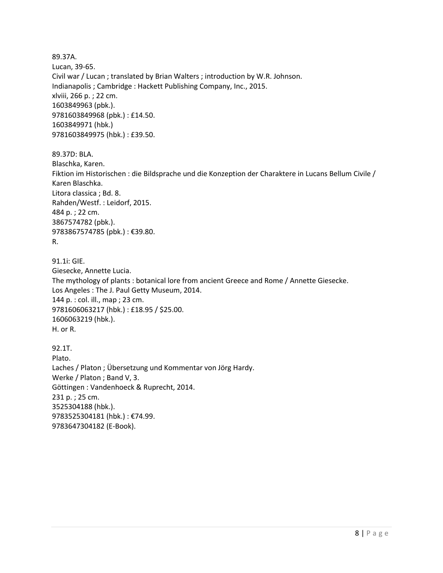89.37A. Lucan, 39-65. Civil war / Lucan ; translated by Brian Walters ; introduction by W.R. Johnson. Indianapolis ; Cambridge : Hackett Publishing Company, Inc., 2015. xlviii, 266 p. ; 22 cm. 1603849963 (pbk.). 9781603849968 (pbk.) : £14.50. 1603849971 (hbk.) 9781603849975 (hbk.) : £39.50. 89.37D: BLA. Blaschka, Karen. Fiktion im Historischen : die Bildsprache und die Konzeption der Charaktere in Lucans Bellum Civile / Karen Blaschka. Litora classica ; Bd. 8. Rahden/Westf. : Leidorf, 2015. 484 p. ; 22 cm. 3867574782 (pbk.). 9783867574785 (pbk.) : €39.80. R. 91.1i: GIE. Giesecke, Annette Lucia. The mythology of plants : botanical lore from ancient Greece and Rome / Annette Giesecke. Los Angeles : The J. Paul Getty Museum, 2014. 144 p. : col. ill., map ; 23 cm. 9781606063217 (hbk.) : £18.95 / \$25.00. 1606063219 (hbk.). H. or R. 92.1T. Plato. Laches / Platon ; Übersetzung und Kommentar von Jörg Hardy. Werke / Platon ; Band V, 3. Göttingen : Vandenhoeck & Ruprecht, 2014. 231 p. ; 25 cm. 3525304188 (hbk.).

9783525304181 (hbk.) : €74.99. 9783647304182 (E-Book).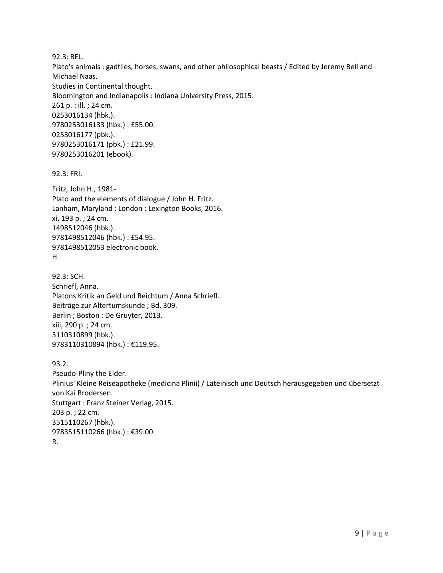92.3: BEL.

Plato's animals : gadflies, horses, swans, and other philosophical beasts / Edited by Jeremy Bell and Michael Naas. Studies in Continental thought. Bloomington and Indianapolis : Indiana University Press, 2015. 261 p. : ill. ; 24 cm. 0253016134 (hbk.). 9780253016133 (hbk.) : £55.00. 0253016177 (pbk.). 9780253016171 (pbk.) : £21.99. 9780253016201 (ebook).

92.3: FRI.

Fritz, John H., 1981- Plato and the elements of dialogue / John H. Fritz. Lanham, Maryland ; London : Lexington Books, 2016. xi, 193 p. ; 24 cm. 1498512046 (hbk.). 9781498512046 (hbk.) : £54.95. 9781498512053 electronic book. H.

92.3: SCH. Schriefl, Anna. Platons Kritik an Geld und Reichtum / Anna Schriefl. Beiträge zur Altertumskunde ; Bd. 309. Berlin ; Boston : De Gruyter, 2013. xiii, 290 p. ; 24 cm. 3110310899 (hbk.). 9783110310894 (hbk.) : €119.95.

93.2.

Pseudo-Pliny the Elder. Plinius' Kleine Reiseapotheke (medicina Plinii) / Lateinisch und Deutsch herausgegeben und übersetzt von Kai Brodersen. Stuttgart : Franz Steiner Verlag, 2015. 203 p. ; 22 cm. 3515110267 (hbk.). 9783515110266 (hbk.) : €39.00. R.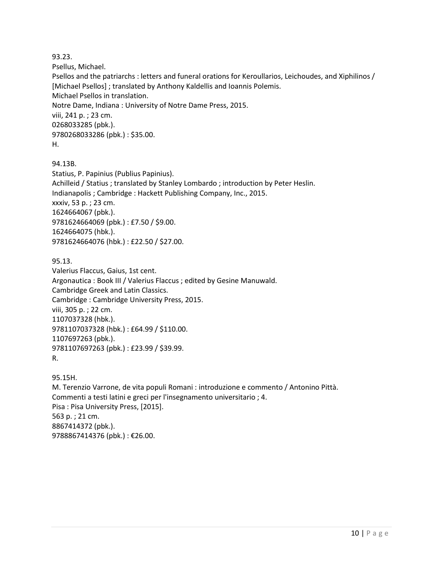93.23.

Psellus, Michael.

Psellos and the patriarchs : letters and funeral orations for Keroullarios, Leichoudes, and Xiphilinos / [Michael Psellos] ; translated by Anthony Kaldellis and Ioannis Polemis. Michael Psellos in translation. Notre Dame, Indiana : University of Notre Dame Press, 2015. viii, 241 p. ; 23 cm. 0268033285 (pbk.). 9780268033286 (pbk.) : \$35.00. H.

94.13B.

Statius, P. Papinius (Publius Papinius). Achilleid / Statius ; translated by Stanley Lombardo ; introduction by Peter Heslin. Indianapolis ; Cambridge : Hackett Publishing Company, Inc., 2015. xxxiv, 53 p. ; 23 cm. 1624664067 (pbk.). 9781624664069 (pbk.) : £7.50 / \$9.00. 1624664075 (hbk.). 9781624664076 (hbk.) : £22.50 / \$27.00.

#### 95.13.

Valerius Flaccus, Gaius, 1st cent. Argonautica : Book III / Valerius Flaccus ; edited by Gesine Manuwald. Cambridge Greek and Latin Classics. Cambridge : Cambridge University Press, 2015. viii, 305 p. ; 22 cm. 1107037328 (hbk.). 9781107037328 (hbk.) : £64.99 / \$110.00. 1107697263 (pbk.). 9781107697263 (pbk.) : £23.99 / \$39.99. R.

95.15H. M. Terenzio Varrone, de vita populi Romani : introduzione e commento / Antonino Pittà. Commenti a testi latini e greci per l'insegnamento universitario ; 4. Pisa : Pisa University Press, [2015]. 563 p. ; 21 cm. 8867414372 (pbk.). 9788867414376 (pbk.) : €26.00.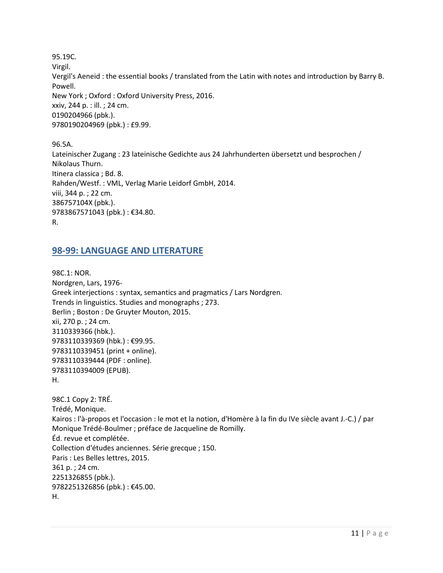95.19C. Virgil. Vergil's Aeneid : the essential books / translated from the Latin with notes and introduction by Barry B. Powell. New York ; Oxford : Oxford University Press, 2016. xxiv, 244 p. : ill. ; 24 cm. 0190204966 (pbk.). 9780190204969 (pbk.) : £9.99.

96.5A. Lateinischer Zugang : 23 lateinische Gedichte aus 24 Jahrhunderten übersetzt und besprochen / Nikolaus Thurn. Itinera classica ; Bd. 8. Rahden/Westf. : VML, Verlag Marie Leidorf GmbH, 2014. viii, 344 p. ; 22 cm. 386757104X (pbk.). 9783867571043 (pbk.) : €34.80. R.

#### <span id="page-10-0"></span>**98-99: LANGUAGE AND LITERATURE**

9782251326856 (pbk.) : €45.00.

H.

98C.1: NOR. Nordgren, Lars, 1976- Greek interjections : syntax, semantics and pragmatics / Lars Nordgren. Trends in linguistics. Studies and monographs ; 273. Berlin ; Boston : De Gruyter Mouton, 2015. xii, 270 p. ; 24 cm. 3110339366 (hbk.). 9783110339369 (hbk.) : €99.95. 9783110339451 (print + online). 9783110339444 (PDF : online). 9783110394009 (EPUB). H. 98C.1 Copy 2: TRÉ. Trédé, Monique. Kairos : l'à-propos et l'occasion : le mot et la notion, d'Homère à la fin du IVe siècle avant J.-C.) / par Monique Trédé-Boulmer ; préface de Jacqueline de Romilly. Éd. revue et complétée. Collection d'études anciennes. Série grecque ; 150. Paris : Les Belles lettres, 2015. 361 p. ; 24 cm. 2251326855 (pbk.).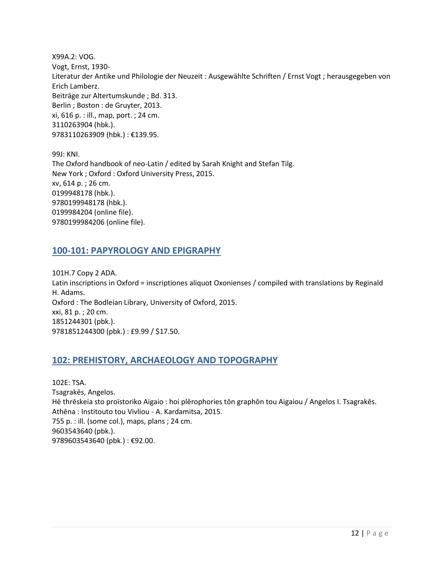X99A.2: VOG. Vogt, Ernst, 1930- Literatur der Antike und Philologie der Neuzeit : Ausgewählte Schriften / Ernst Vogt ; herausgegeben von Erich Lamberz. Beiträge zur Altertumskunde ; Bd. 313. Berlin ; Boston : de Gruyter, 2013. xi, 616 p. : ill., map, port. ; 24 cm. 3110263904 (hbk.). 9783110263909 (hbk.) : €139.95.

99J: KNI. The Oxford handbook of neo-Latin / edited by Sarah Knight and Stefan Tilg. New York ; Oxford : Oxford University Press, 2015. xv, 614 p. ; 26 cm. 0199948178 (hbk.). 9780199948178 (hbk.). 0199984204 (online file). 9780199984206 (online file).

#### <span id="page-11-0"></span>**100-101: PAPYROLOGY AND EPIGRAPHY**

101H.7 Copy 2 ADA. Latin inscriptions in Oxford = inscriptiones aliquot Oxonienses / compiled with translations by Reginald H. Adams. Oxford : The Bodleian Library, University of Oxford, 2015. xxi, 81 p. ; 20 cm. 1851244301 (pbk.). 9781851244300 (pbk.) : £9.99 / \$17.50.

#### <span id="page-11-1"></span>**102: PREHISTORY, ARCHAEOLOGY AND TOPOGRAPHY**

102E: TSA. Tsagrakēs, Angelos. Hē thrēskeia sto proïstoriko Aigaio : hoi plērophories tōn graphōn tou Aigaiou / Angelos I. Tsagrakēs. Athēna : Institouto tou Vivliou - A. Kardamitsa, 2015. 755 p. : ill. (some col.), maps, plans ; 24 cm. 9603543640 (pbk.). 9789603543640 (pbk.) : €92.00.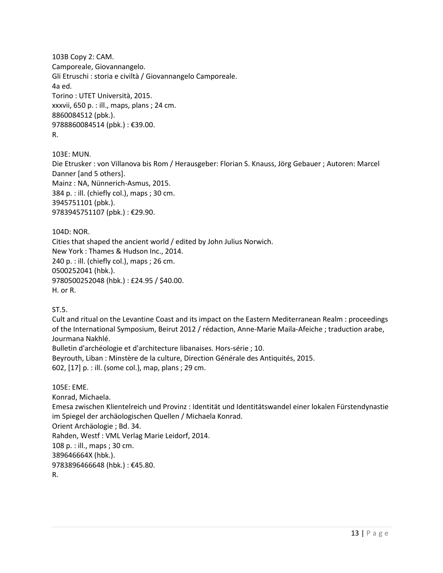103B Copy 2: CAM. Camporeale, Giovannangelo. Gli Etruschi : storia e civiltà / Giovannangelo Camporeale. 4a ed. Torino : UTET Università, 2015. xxxvii, 650 p. : ill., maps, plans ; 24 cm. 8860084512 (pbk.). 9788860084514 (pbk.) : €39.00. R.

103E: MUN. Die Etrusker : von Villanova bis Rom / Herausgeber: Florian S. Knauss, Jörg Gebauer ; Autoren: Marcel Danner [and 5 others]. Mainz : NA, Nünnerich-Asmus, 2015. 384 p. : ill. (chiefly col.), maps ; 30 cm. 3945751101 (pbk.). 9783945751107 (pbk.) : €29.90.

104D: NOR. Cities that shaped the ancient world / edited by John Julius Norwich. New York : Thames & Hudson Inc., 2014. 240 p. : ill. (chiefly col.), maps ; 26 cm. 0500252041 (hbk.). 9780500252048 (hbk.) : £24.95 / \$40.00. H. or R.

ST.5.

Cult and ritual on the Levantine Coast and its impact on the Eastern Mediterranean Realm : proceedings of the International Symposium, Beirut 2012 / rédaction, Anne-Marie Maila-Afeiche ; traduction arabe, Jourmana Nakhlé.

Bulletin d'archéologie et d'architecture libanaises. Hors-série ; 10.

Beyrouth, Liban : Minstère de la culture, Direction Générale des Antiquités, 2015.

602, [17] p. : ill. (some col.), map, plans ; 29 cm.

105E: EME. Konrad, Michaela. Emesa zwischen Klientelreich und Provinz : Identität und Identitätswandel einer lokalen Fürstendynastie im Spiegel der archäologischen Quellen / Michaela Konrad. Orient Archäologie ; Bd. 34. Rahden, Westf : VML Verlag Marie Leidorf, 2014. 108 p. : ill., maps ; 30 cm. 389646664X (hbk.). 9783896466648 (hbk.) : €45.80. R.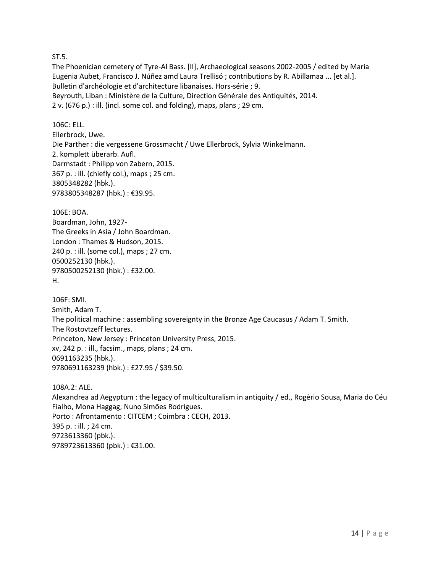#### ST.5.

The Phoenician cemetery of Tyre-Al Bass. [II], Archaeological seasons 2002-2005 / edited by María Eugenia Aubet, Francisco J. Núñez amd Laura Trellisó ; contributions by R. Abillamaa ... [et al.]. Bulletin d'archéologie et d'architecture libanaises. Hors-série ; 9. Beyrouth, Liban : Ministère de la Culture, Direction Générale des Antiquités, 2014. 2 v. (676 p.) : ill. (incl. some col. and folding), maps, plans ; 29 cm.

106C: ELL.

Ellerbrock, Uwe. Die Parther : die vergessene Grossmacht / Uwe Ellerbrock, Sylvia Winkelmann. 2. komplett überarb. Aufl. Darmstadt : Philipp von Zabern, 2015. 367 p. : ill. (chiefly col.), maps ; 25 cm. 3805348282 (hbk.). 9783805348287 (hbk.) : €39.95.

106E: BOA.

Boardman, John, 1927- The Greeks in Asia / John Boardman. London : Thames & Hudson, 2015. 240 p. : ill. (some col.), maps ; 27 cm. 0500252130 (hbk.). 9780500252130 (hbk.) : £32.00. H.

106F: SMI. Smith, Adam T. The political machine : assembling sovereignty in the Bronze Age Caucasus / Adam T. Smith. The Rostovtzeff lectures. Princeton, New Jersey : Princeton University Press, 2015. xv, 242 p. : ill., facsim., maps, plans ; 24 cm. 0691163235 (hbk.). 9780691163239 (hbk.) : £27.95 / \$39.50.

108A.2: ALE. Alexandrea ad Aegyptum : the legacy of multiculturalism in antiquity / ed., Rogério Sousa, Maria do Céu Fialho, Mona Haggag, Nuno Simões Rodrigues. Porto : Afrontamento : CITCEM ; Coimbra : CECH, 2013. 395 p. : ill. ; 24 cm. 9723613360 (pbk.). 9789723613360 (pbk.) : €31.00.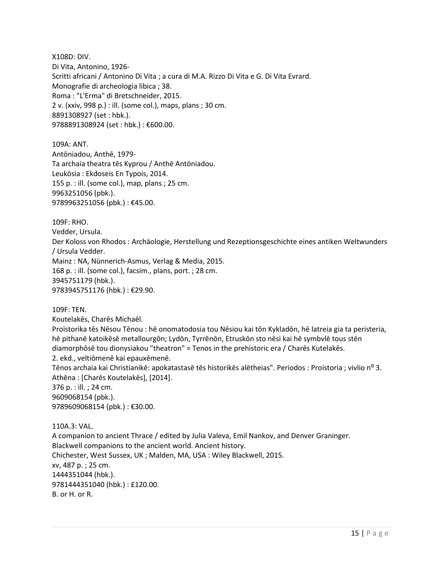X108D: DIV. Di Vita, Antonino, 1926- Scritti africani / Antonino Di Vita ; a cura di M.A. Rizzo Di Vita e G. Di Vita Evrard. Monografie di archeologia libica ; 38. Roma : "L'Erma" di Bretschneider, 2015. 2 v. (xxiv, 998 p.) : ill. (some col.), maps, plans ; 30 cm. 8891308927 (set : hbk.). 9788891308924 (set : hbk.) : €600.00.

109A: ANT. Antōniadou, Anthē, 1979- Ta archaia theatra tēs Kyprou / Anthē Antōniadou. Leukōsia : Ekdoseis En Typois, 2014. 155 p. : ill. (some col.), map, plans ; 25 cm. 9963251056 (pbk.). 9789963251056 (pbk.) : €45.00.

109F: RHO.

Vedder, Ursula.

Der Koloss von Rhodos : Archäologie, Herstellung und Rezeptionsgeschichte eines antiken Weltwunders / Ursula Vedder.

Mainz : NA, Nünnerich-Asmus, Verlag & Media, 2015.

168 p. : ill. (some col.), facsim., plans, port. ; 28 cm.

3945751179 (hbk.).

9783945751176 (hbk.) : €29.90.

109F: TEN.

Koutelakēs, Charēs Michaēl.

Proïstorika tēs Nēsou Tēnou : hē onomatodosia tou Nēsiou kai tōn Kykladōn, hē latreia gia ta peristeria, hē pithanē katoikēsē metallourgōn; Lydōn, Tyrrēnōn, Etruskōn sto nēsi kai hē symbvlē tous stēn diamorphōsē tou dionysiakou "theatron" = Tenos in the prehistoric era / Charēs Kutelakēs. 2. ekd., veltiōmenē kai epauxēmenē.

Tēnos archaia kai Christianikē: apokatastasē tēs historikēs alētheias". Periodos : Proistoria ; vivlio nº 3. Athēna : [Charēs Koutelakēs], [2014].

376 p. : ill. ; 24 cm. 9609068154 (pbk.). 9789609068154 (pbk.) : €30.00.

110A.3: VAL. A companion to ancient Thrace / edited by Julia Valeva, Emil Nankov, and Denver Graninger. Blackwell companions to the ancient world. Ancient history. Chichester, West Sussex, UK ; Malden, MA, USA : Wiley Blackwell, 2015. xv, 487 p. ; 25 cm. 1444351044 (hbk.). 9781444351040 (hbk.) : £120.00. B. or H. or R.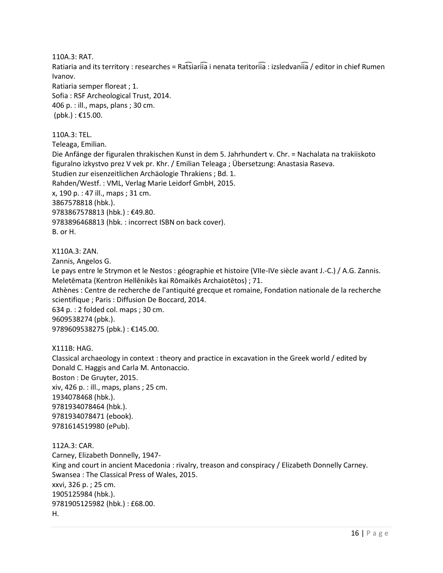110A.3: RAT. Ratiaria and its territory : researches = Rat͡siariia i nenata teritoriia : izsledvaniia / editor in chief Rumen Ivanov. Ratiaria semper floreat ; 1. Sofia : RSF Archeological Trust, 2014. 406 p. : ill., maps, plans ; 30 cm. (pbk.) : €15.00.

110A.3: TEL. Teleaga, Emilian. Die Anfänge der figuralen thrakischen Kunst in dem 5. Jahrhundert v. Chr. = Nachalata na trakiiskoto figuralno izkystvo prez V vek pr. Khr. / Emilian Teleaga ; Übersetzung: Anastasia Raseva. Studien zur eisenzeitlichen Archäologie Thrakiens ; Bd. 1. Rahden/Westf. : VML, Verlag Marie Leidorf GmbH, 2015. x, 190 p. : 47 ill., maps ; 31 cm. 3867578818 (hbk.). 9783867578813 (hbk.) : €49.80. 9783896468813 (hbk. : incorrect ISBN on back cover). B. or H.

X110A.3: ZAN.

Zannis, Angelos G.

Le pays entre le Strymon et le Nestos : géographie et histoire (VIIe-IVe siècle avant J.-C.) / A.G. Zannis. Meletēmata (Kentron Hellēnikēs kai Rōmaikēs Archaiotētos) ; 71. Athènes : Centre de recherche de l'antiquité grecque et romaine, Fondation nationale de la recherche scientifique ; Paris : Diffusion De Boccard, 2014. 634 p. : 2 folded col. maps ; 30 cm. 9609538274 (pbk.). 9789609538275 (pbk.) : €145.00.

X111B: HAG. Classical archaeology in context : theory and practice in excavation in the Greek world / edited by Donald C. Haggis and Carla M. Antonaccio. Boston : De Gruyter, 2015. xiv, 426 p. : ill., maps, plans ; 25 cm. 1934078468 (hbk.). 9781934078464 (hbk.). 9781934078471 (ebook). 9781614519980 (ePub).

112A.3: CAR. Carney, Elizabeth Donnelly, 1947- King and court in ancient Macedonia : rivalry, treason and conspiracy / Elizabeth Donnelly Carney. Swansea : The Classical Press of Wales, 2015. xxvi, 326 p. ; 25 cm. 1905125984 (hbk.). 9781905125982 (hbk.) : £68.00. H.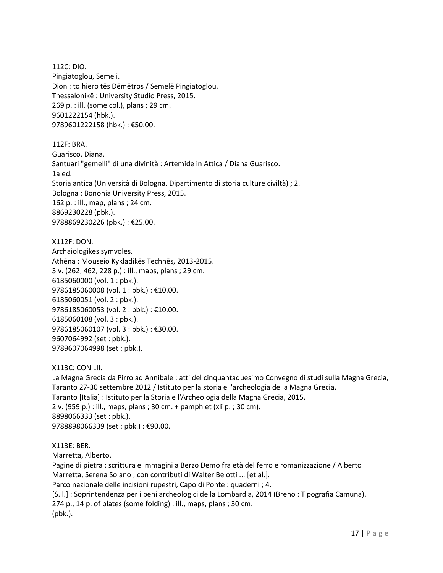112C: DIO. Pingiatoglou, Semeli. Dion : to hiero tēs Dēmētros / Semelē Pingiatoglou. Thessalonikē : University Studio Press, 2015. 269 p. : ill. (some col.), plans ; 29 cm. 9601222154 (hbk.). 9789601222158 (hbk.) : €50.00.

112F: BRA. Guarisco, Diana. Santuari "gemelli" di una divinità : Artemide in Attica / Diana Guarisco. 1a ed. Storia antica (Università di Bologna. Dipartimento di storia culture civiltà) ; 2. Bologna : Bononia University Press, 2015. 162 p. : ill., map, plans ; 24 cm. 8869230228 (pbk.). 9788869230226 (pbk.) : €25.00.

X112F: DON. Archaiologikes symvoles. Athēna : Mouseio Kykladikēs Technēs, 2013-2015. 3 v. (262, 462, 228 p.) : ill., maps, plans ; 29 cm. 6185060000 (vol. 1 : pbk.). 9786185060008 (vol. 1 : pbk.) : €10.00. 6185060051 (vol. 2 : pbk.). 9786185060053 (vol. 2 : pbk.) : €10.00. 6185060108 (vol. 3 : pbk.). 9786185060107 (vol. 3 : pbk.) : €30.00. 9607064992 (set : pbk.). 9789607064998 (set : pbk.).

X113C: CON LII. La Magna Grecia da Pirro ad Annibale : atti del cinquantaduesimo Convegno di studi sulla Magna Grecia, Taranto 27-30 settembre 2012 / Istituto per la storia e l'archeologia della Magna Grecia. Taranto [Italia] : Istituto per la Storia e l'Archeologia della Magna Grecia, 2015. 2 v. (959 p.) : ill., maps, plans ; 30 cm. + pamphlet (xli p. ; 30 cm). 8898066333 (set : pbk.). 9788898066339 (set : pbk.) : €90.00.

X113E: BER. Marretta, Alberto. Pagine di pietra : scrittura e immagini a Berzo Demo fra età del ferro e romanizzazione / Alberto Marretta, Serena Solano ; con contributi di Walter Belotti ... [et al.]. Parco nazionale delle incisioni rupestri, Capo di Ponte : quaderni ; 4. [S. l.] : Soprintendenza per i beni archeologici della Lombardia, 2014 (Breno : Tipografia Camuna). 274 p., 14 p. of plates (some folding) : ill., maps, plans ; 30 cm. (pbk.).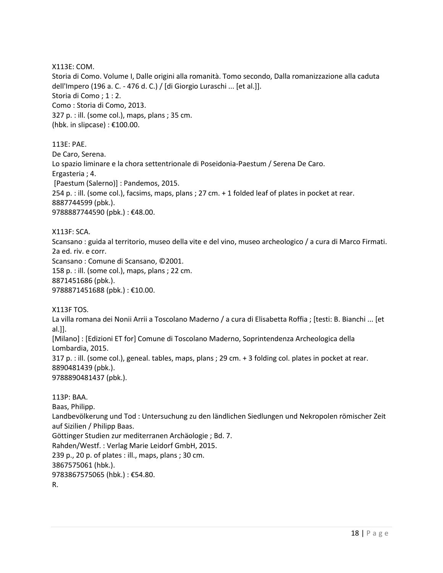X113E: COM.

Storia di Como. Volume I, Dalle origini alla romanità. Tomo secondo, Dalla romanizzazione alla caduta dell'Impero (196 a. C. - 476 d. C.) / [di Giorgio Luraschi ... [et al.]]. Storia di Como ; 1 : 2. Como : Storia di Como, 2013. 327 p. : ill. (some col.), maps, plans ; 35 cm. (hbk. in slipcase) : €100.00.

113E: PAE. De Caro, Serena. Lo spazio liminare e la chora settentrionale di Poseidonia-Paestum / Serena De Caro. Ergasteria ; 4. [Paestum (Salerno)] : Pandemos, 2015. 254 p. : ill. (some col.), facsims, maps, plans ; 27 cm. + 1 folded leaf of plates in pocket at rear. 8887744599 (pbk.). 9788887744590 (pbk.) : €48.00.

X113F: SCA. Scansano : guida al territorio, museo della vite e del vino, museo archeologico / a cura di Marco Firmati. 2a ed. riv. e corr. Scansano : Comune di Scansano, ©2001. 158 p. : ill. (some col.), maps, plans ; 22 cm. 8871451686 (pbk.). 9788871451688 (pbk.) : €10.00.

X113F TOS.

La villa romana dei Nonii Arrii a Toscolano Maderno / a cura di Elisabetta Roffia ; [testi: B. Bianchi ... [et al.]]. [Milano] : [Edizioni ET for] Comune di Toscolano Maderno, Soprintendenza Archeologica della Lombardia, 2015. 317 p. : ill. (some col.), geneal. tables, maps, plans ; 29 cm. + 3 folding col. plates in pocket at rear.

8890481439 (pbk.).

9788890481437 (pbk.).

113P: BAA. Baas, Philipp. Landbevölkerung und Tod : Untersuchung zu den ländlichen Siedlungen und Nekropolen römischer Zeit auf Sizilien / Philipp Baas. Göttinger Studien zur mediterranen Archäologie ; Bd. 7. Rahden/Westf. : Verlag Marie Leidorf GmbH, 2015. 239 p., 20 p. of plates : ill., maps, plans ; 30 cm. 3867575061 (hbk.). 9783867575065 (hbk.) : €54.80. R.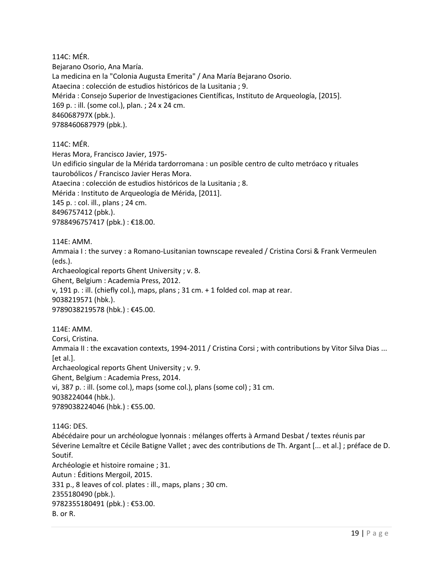114C: MÉR. Bejarano Osorio, Ana María. La medicina en la "Colonia Augusta Emerita" / Ana María Bejarano Osorio. Ataecina : colección de estudios históricos de la Lusitania ; 9. Mérida : Consejo Superior de Investigaciones Científicas, Instituto de Arqueología, [2015]. 169 p. : ill. (some col.), plan. ; 24 x 24 cm. 846068797X (pbk.). 9788460687979 (pbk.).

114C: MÉR.

Heras Mora, Francisco Javier, 1975- Un edificio singular de la Mérida tardorromana : un posible centro de culto metróaco y rituales taurobólicos / Francisco Javier Heras Mora. Ataecina : colección de estudios históricos de la Lusitania ; 8. Mérida : Instituto de Arqueología de Mérida, [2011]. 145 p. : col. ill., plans ; 24 cm. 8496757412 (pbk.). 9788496757417 (pbk.) : €18.00.

114E: AMM.

Ammaia I : the survey : a Romano-Lusitanian townscape revealed / Cristina Corsi & Frank Vermeulen (eds.). Archaeological reports Ghent University ; v. 8. Ghent, Belgium : Academia Press, 2012. v, 191 p. : ill. (chiefly col.), maps, plans ; 31 cm. + 1 folded col. map at rear. 9038219571 (hbk.).

9789038219578 (hbk.) : €45.00.

114E: AMM. Corsi, Cristina. Ammaia II : the excavation contexts, 1994-2011 / Cristina Corsi ; with contributions by Vitor Silva Dias ... [et al.]. Archaeological reports Ghent University ; v. 9. Ghent, Belgium : Academia Press, 2014. vi, 387 p. : ill. (some col.), maps (some col.), plans (some col) ; 31 cm. 9038224044 (hbk.). 9789038224046 (hbk.) : €55.00.

114G: DES. Abécédaire pour un archéologue lyonnais : mélanges offerts à Armand Desbat / textes réunis par Séverine Lemaître et Cécile Batigne Vallet ; avec des contributions de Th. Argant [... et al.] ; préface de D. Soutif. Archéologie et histoire romaine ; 31. Autun : Éditions Mergoil, 2015. 331 p., 8 leaves of col. plates : ill., maps, plans ; 30 cm. 2355180490 (pbk.). 9782355180491 (pbk.) : €53.00. B. or R.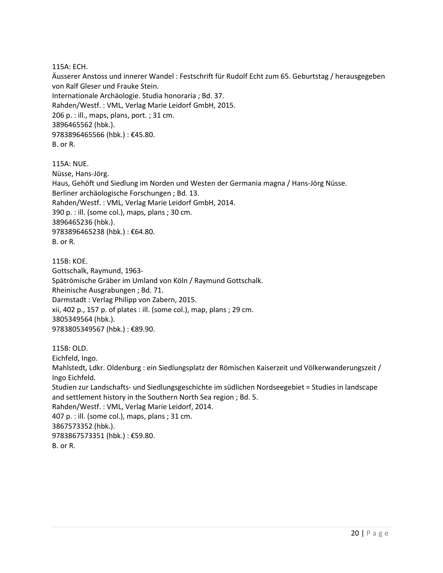115A: ECH.

Äusserer Anstoss und innerer Wandel : Festschrift für Rudolf Echt zum 65. Geburtstag / herausgegeben von Ralf Gleser und Frauke Stein. Internationale Archäologie. Studia honoraria ; Bd. 37. Rahden/Westf. : VML, Verlag Marie Leidorf GmbH, 2015. 206 p. : ill., maps, plans, port. ; 31 cm. 3896465562 (hbk.). 9783896465566 (hbk.) : €45.80. B. or R.

115A: NUE. Nüsse, Hans-Jörg. Haus, Gehöft und Siedlung im Norden und Westen der Germania magna / Hans-Jörg Nüsse. Berliner archäologische Forschungen ; Bd. 13. Rahden/Westf. : VML, Verlag Marie Leidorf GmbH, 2014. 390 p. : ill. (some col.), maps, plans ; 30 cm. 3896465236 (hbk.). 9783896465238 (hbk.) : €64.80. B. or R.

115B: KOE. Gottschalk, Raymund, 1963- Spätrömische Gräber im Umland von Köln / Raymund Gottschalk. Rheinische Ausgrabungen ; Bd. 71. Darmstadt : Verlag Philipp von Zabern, 2015. xii, 402 p., 157 p. of plates : ill. (some col.), map, plans ; 29 cm. 3805349564 (hbk.). 9783805349567 (hbk.) : €89.90.

115B: OLD. Eichfeld, Ingo. Mahlstedt, Ldkr. Oldenburg : ein Siedlungsplatz der Römischen Kaiserzeit und Völkerwanderungszeit / Ingo Eichfeld. Studien zur Landschafts- und Siedlungsgeschichte im südlichen Nordseegebiet = Studies in landscape and settlement history in the Southern North Sea region ; Bd. 5. Rahden/Westf. : VML, Verlag Marie Leidorf, 2014. 407 p. : ill. (some col.), maps, plans ; 31 cm. 3867573352 (hbk.). 9783867573351 (hbk.) : €59.80. B. or R.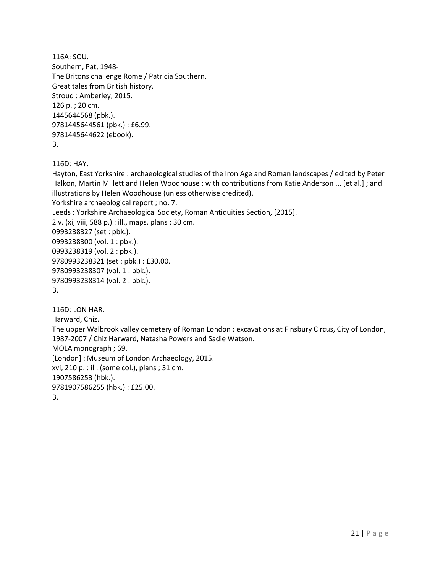```
116A: SOU. 
Southern, Pat, 1948-
The Britons challenge Rome / Patricia Southern.
Great tales from British history. 
Stroud : Amberley, 2015.
126 p. ; 20 cm.
1445644568 (pbk.). 
9781445644561 (pbk.) : £6.99. 
9781445644622 (ebook). 
B.
```
116D: HAY.

Hayton, East Yorkshire : archaeological studies of the Iron Age and Roman landscapes / edited by Peter Halkon, Martin Millett and Helen Woodhouse ; with contributions from Katie Anderson ... [et al.] ; and illustrations by Helen Woodhouse (unless otherwise credited).

Yorkshire archaeological report ; no. 7.

Leeds : Yorkshire Archaeological Society, Roman Antiquities Section, [2015].

2 v. (xi, viii, 588 p.) : ill., maps, plans ; 30 cm.

0993238327 (set : pbk.).

0993238300 (vol. 1 : pbk.).

0993238319 (vol. 2 : pbk.).

9780993238321 (set : pbk.) : £30.00.

9780993238307 (vol. 1 : pbk.).

9780993238314 (vol. 2 : pbk.).

B.

116D: LON HAR. Harward, Chiz. The upper Walbrook valley cemetery of Roman London : excavations at Finsbury Circus, City of London, 1987-2007 / Chiz Harward, Natasha Powers and Sadie Watson. MOLA monograph ; 69. [London] : Museum of London Archaeology, 2015. xvi, 210 p. : ill. (some col.), plans ; 31 cm. 1907586253 (hbk.). 9781907586255 (hbk.) : £25.00. B.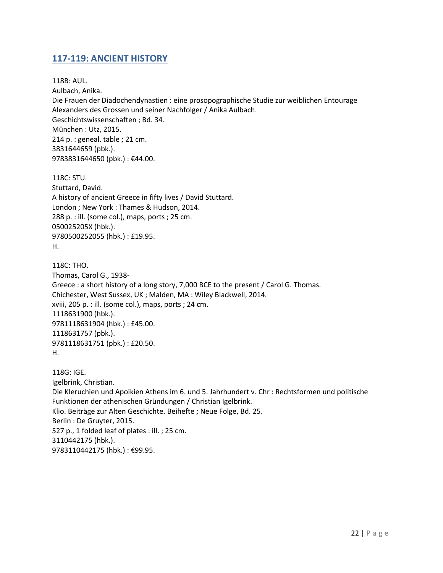## <span id="page-21-0"></span>**117-119: ANCIENT HISTORY**

118B: AUL. Aulbach, Anika. Die Frauen der Diadochendynastien : eine prosopographische Studie zur weiblichen Entourage Alexanders des Grossen und seiner Nachfolger / Anika Aulbach. Geschichtswissenschaften ; Bd. 34. München : Utz, 2015. 214 p. : geneal. table ; 21 cm. 3831644659 (pbk.). 9783831644650 (pbk.) : €44.00.

118C: STU. Stuttard, David. A history of ancient Greece in fifty lives / David Stuttard. London ; New York : Thames & Hudson, 2014. 288 p. : ill. (some col.), maps, ports ; 25 cm. 050025205X (hbk.). 9780500252055 (hbk.) : £19.95. H.

118C: THO. Thomas, Carol G., 1938- Greece : a short history of a long story, 7,000 BCE to the present / Carol G. Thomas. Chichester, West Sussex, UK ; Malden, MA : Wiley Blackwell, 2014. xviii, 205 p. : ill. (some col.), maps, ports ; 24 cm. 1118631900 (hbk.). 9781118631904 (hbk.) : £45.00. 1118631757 (pbk.). 9781118631751 (pbk.) : £20.50. H.

118G: IGE. Igelbrink, Christian. Die Kleruchien und Apoikien Athens im 6. und 5. Jahrhundert v. Chr : Rechtsformen und politische Funktionen der athenischen Gründungen / Christian Igelbrink. Klio. Beiträge zur Alten Geschichte. Beihefte ; Neue Folge, Bd. 25. Berlin : De Gruyter, 2015. 527 p., 1 folded leaf of plates : ill. ; 25 cm. 3110442175 (hbk.). 9783110442175 (hbk.) : €99.95.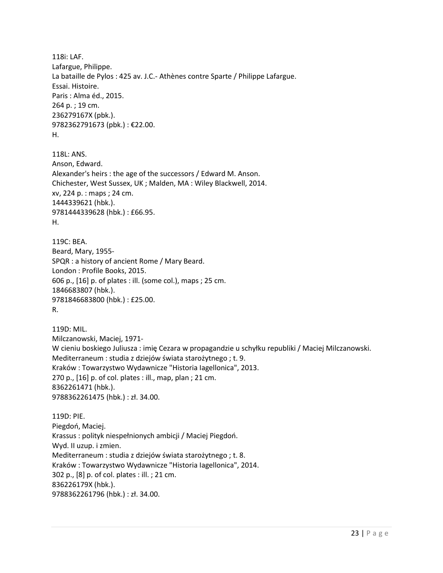118i: LAF. Lafargue, Philippe. La bataille de Pylos : 425 av. J.C.- Athènes contre Sparte / Philippe Lafargue. Essai. Histoire. Paris : Alma éd., 2015. 264 p. ; 19 cm. 236279167X (pbk.). 9782362791673 (pbk.) : €22.00. H. 118L: ANS. Anson, Edward. Alexander's heirs : the age of the successors / Edward M. Anson. Chichester, West Sussex, UK ; Malden, MA : Wiley Blackwell, 2014. xv, 224 p. : maps ; 24 cm. 1444339621 (hbk.). 9781444339628 (hbk.) : £66.95. H. 119C: BEA. Beard, Mary, 1955- SPQR : a history of ancient Rome / Mary Beard. London : Profile Books, 2015. 606 p., [16] p. of plates : ill. (some col.), maps ; 25 cm. 1846683807 (hbk.). 9781846683800 (hbk.) : £25.00. R. 119D: MIL. Milczanowski, Maciej, 1971- W cieniu boskiego Juliusza : imię Cezara w propagandzie u schyłku republiki / Maciej Milczanowski. Mediterraneum : studia z dziejów świata starożytnego ; t. 9. Kraków : Towarzystwo Wydawnicze "Historia Iagellonica", 2013. 270 p., [16] p. of col. plates : ill., map, plan ; 21 cm. 8362261471 (hbk.). 9788362261475 (hbk.) : zł. 34.00. 119D: PIE. Piegdoń, Maciej. Krassus : polityk niespełnionych ambicji / Maciej Piegdoń. Wyd. II uzup. i zmien. Mediterraneum : studia z dziejów świata starożytnego ; t. 8. Kraków : Towarzystwo Wydawnicze "Historia Iagellonica", 2014. 302 p., [8] p. of col. plates : ill. ; 21 cm. 836226179X (hbk.). 9788362261796 (hbk.) : zł. 34.00.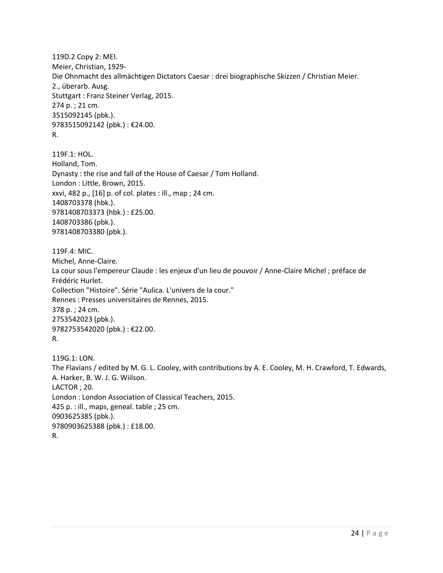119D.2 Copy 2: MEI. Meier, Christian, 1929- Die Ohnmacht des allmächtigen Dictators Caesar : drei biographische Skizzen / Christian Meier. 2., überarb. Ausg. Stuttgart : Franz Steiner Verlag, 2015. 274 p. ; 21 cm. 3515092145 (pbk.). 9783515092142 (pbk.) : €24.00. R.

119F.1: HOL. Holland, Tom. Dynasty : the rise and fall of the House of Caesar / Tom Holland. London : Little, Brown, 2015. xxvi, 482 p., [16] p. of col. plates : ill., map ; 24 cm. 1408703378 (hbk.). 9781408703373 (hbk.) : £25.00. 1408703386 (pbk.). 9781408703380 (pbk.).

119F.4: MIC. Michel, Anne-Claire. La cour sous l'empereur Claude : les enjeux d'un lieu de pouvoir / Anne-Claire Michel ; préface de Frédéric Hurlet. Collection "Histoire". Série "Aulica. L'univers de la cour." Rennes : Presses universitaires de Rennes, 2015. 378 p. ; 24 cm. 2753542023 (pbk.). 9782753542020 (pbk.) : €22.00. R.

119G.1: LON. The Flavians / edited by M. G. L. Cooley, with contributions by A. E. Cooley, M. H. Crawford, T. Edwards, A. Harker, B. W. J. G. Wiilson. LACTOR ; 20. London : London Association of Classical Teachers, 2015. 425 p. : ill., maps, geneal. table ; 25 cm. 0903625385 (pbk.). 9780903625388 (pbk.) : £18.00. R.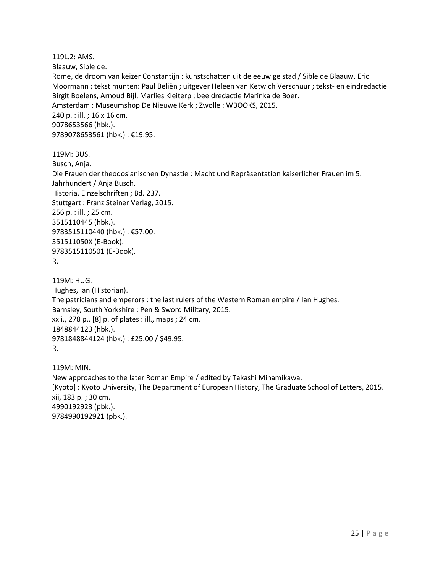119L.2: AMS. Blaauw, Sible de. Rome, de droom van keizer Constantijn : kunstschatten uit de eeuwige stad / Sible de Blaauw, Eric Moormann ; tekst munten: Paul Beliën ; uitgever Heleen van Ketwich Verschuur ; tekst- en eindredactie Birgit Boelens, Arnoud Bijl, Marlies Kleiterp ; beeldredactie Marinka de Boer. Amsterdam : Museumshop De Nieuwe Kerk ; Zwolle : WBOOKS, 2015. 240 p. : ill. ; 16 x 16 cm. 9078653566 (hbk.). 9789078653561 (hbk.) : €19.95. 119M: BUS.

Busch, Anja. Die Frauen der theodosianischen Dynastie : Macht und Repräsentation kaiserlicher Frauen im 5. Jahrhundert / Anja Busch. Historia. Einzelschriften ; Bd. 237. Stuttgart : Franz Steiner Verlag, 2015. 256 p. : ill. ; 25 cm. 3515110445 (hbk.). 9783515110440 (hbk.) : €57.00. 351511050X (E-Book). 9783515110501 (E-Book). R.

119M: HUG. Hughes, Ian (Historian). The patricians and emperors : the last rulers of the Western Roman empire / Ian Hughes. Barnsley, South Yorkshire : Pen & Sword Military, 2015. xxii., 278 p., [8] p. of plates : ill., maps ; 24 cm. 1848844123 (hbk.). 9781848844124 (hbk.) : £25.00 / \$49.95. R.

119M: MIN. New approaches to the later Roman Empire / edited by Takashi Minamikawa. [Kyoto] : Kyoto University, The Department of European History, The Graduate School of Letters, 2015. xii, 183 p. ; 30 cm. 4990192923 (pbk.). 9784990192921 (pbk.).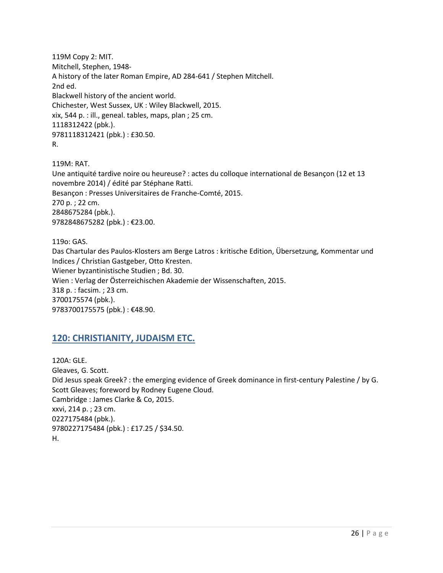119M Copy 2: MIT. Mitchell, Stephen, 1948- A history of the later Roman Empire, AD 284-641 / Stephen Mitchell. 2nd ed. Blackwell history of the ancient world. Chichester, West Sussex, UK : Wiley Blackwell, 2015. xix, 544 p. : ill., geneal. tables, maps, plan ; 25 cm. 1118312422 (pbk.). 9781118312421 (pbk.) : £30.50. R.

119M: RAT. Une antiquité tardive noire ou heureuse? : actes du colloque international de Besançon (12 et 13 novembre 2014) / édité par Stéphane Ratti. Besançon : Presses Universitaires de Franche-Comté, 2015. 270 p. ; 22 cm. 2848675284 (pbk.). 9782848675282 (pbk.) : €23.00.

119o: GAS. Das Chartular des Paulos-Klosters am Berge Latros : kritische Edition, Übersetzung, Kommentar und Indices / Christian Gastgeber, Otto Kresten. Wiener byzantinistische Studien ; Bd. 30. Wien : Verlag der Österreichischen Akademie der Wissenschaften, 2015. 318 p. : facsim. ; 23 cm. 3700175574 (pbk.). 9783700175575 (pbk.): €48.90.

## <span id="page-25-0"></span>**120: CHRISTIANITY, JUDAISM ETC.**

120A: GLE. Gleaves, G. Scott. Did Jesus speak Greek? : the emerging evidence of Greek dominance in first-century Palestine / by G. Scott Gleaves; foreword by Rodney Eugene Cloud. Cambridge : James Clarke & Co, 2015. xxvi, 214 p. ; 23 cm. 0227175484 (pbk.). 9780227175484 (pbk.) : £17.25 / \$34.50. H.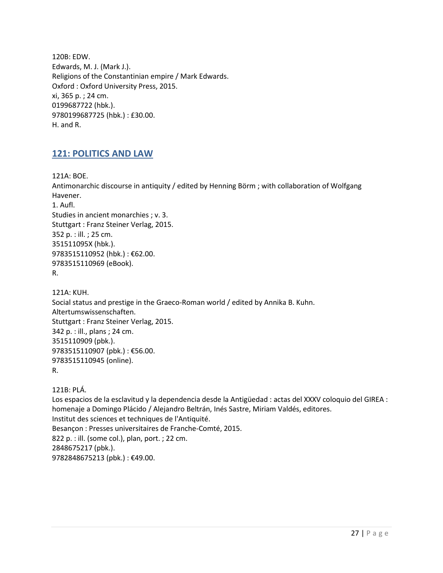120B: EDW. Edwards, M. J. (Mark J.). Religions of the Constantinian empire / Mark Edwards. Oxford : Oxford University Press, 2015. xi, 365 p. ; 24 cm. 0199687722 (hbk.). 9780199687725 (hbk.) : £30.00. H. and R.

## <span id="page-26-0"></span>**121: POLITICS AND LAW**

121A: BOE.

Antimonarchic discourse in antiquity / edited by Henning Börm ; with collaboration of Wolfgang Havener. 1. Aufl. Studies in ancient monarchies ; v. 3. Stuttgart : Franz Steiner Verlag, 2015. 352 p. : ill. ; 25 cm. 351511095X (hbk.). 9783515110952 (hbk.) : €62.00. 9783515110969 (eBook). R.

121A: KUH. Social status and prestige in the Graeco-Roman world / edited by Annika B. Kuhn. Altertumswissenschaften. Stuttgart : Franz Steiner Verlag, 2015. 342 p. : ill., plans ; 24 cm. 3515110909 (pbk.). 9783515110907 (pbk.) : €56.00. 9783515110945 (online). R.

121B: PLÁ.

Los espacios de la esclavitud y la dependencia desde la Antigüedad : actas del XXXV coloquio del GIREA : homenaje a Domingo Plácido / Alejandro Beltrán, Inés Sastre, Miriam Valdés, editores. Institut des sciences et techniques de l'Antiquité. Besançon : Presses universitaires de Franche-Comté, 2015. 822 p. : ill. (some col.), plan, port. ; 22 cm. 2848675217 (pbk.). 9782848675213 (pbk.) : €49.00.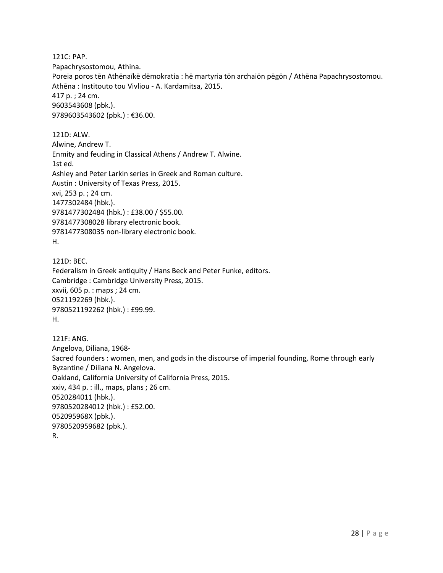121C: PAP. Papachrysostomou, Athina. Poreia poros tēn Athēnaïkē dēmokratia : hē martyria tōn archaiōn pēgōn / Athēna Papachrysostomou. Athēna : Institouto tou Vivliou - A. Kardamitsa, 2015. 417 p. ; 24 cm. 9603543608 (pbk.). 9789603543602 (pbk.) : €36.00.

121D: ALW. Alwine, Andrew T. Enmity and feuding in Classical Athens / Andrew T. Alwine. 1st ed. Ashley and Peter Larkin series in Greek and Roman culture. Austin : University of Texas Press, 2015. xvi, 253 p. ; 24 cm. 1477302484 (hbk.). 9781477302484 (hbk.) : £38.00 / \$55.00. 9781477308028 library electronic book. 9781477308035 non-library electronic book. H.

121D: BEC. Federalism in Greek antiquity / Hans Beck and Peter Funke, editors. Cambridge : Cambridge University Press, 2015. xxvii, 605 p. : maps ; 24 cm. 0521192269 (hbk.). 9780521192262 (hbk.) : £99.99. H.

121F: ANG. Angelova, Diliana, 1968- Sacred founders : women, men, and gods in the discourse of imperial founding, Rome through early Byzantine / Diliana N. Angelova. Oakland, California University of California Press, 2015. xxiv, 434 p. : ill., maps, plans ; 26 cm. 0520284011 (hbk.). 9780520284012 (hbk.) : £52.00. 052095968X (pbk.). 9780520959682 (pbk.). R.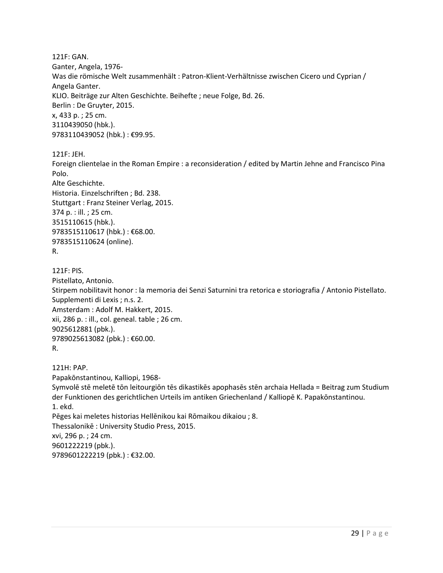121F: GAN. Ganter, Angela, 1976- Was die römische Welt zusammenhält : Patron-Klient-Verhältnisse zwischen Cicero und Cyprian / Angela Ganter. KLIO. Beiträge zur Alten Geschichte. Beihefte ; neue Folge, Bd. 26. Berlin : De Gruyter, 2015. x, 433 p. ; 25 cm. 3110439050 (hbk.). 9783110439052 (hbk.) : €99.95.

121F: JEH.

Foreign clientelae in the Roman Empire : a reconsideration / edited by Martin Jehne and Francisco Pina Polo.

Alte Geschichte. Historia. Einzelschriften ; Bd. 238. Stuttgart : Franz Steiner Verlag, 2015. 374 p. : ill. ; 25 cm. 3515110615 (hbk.). 9783515110617 (hbk.) : €68.00. 9783515110624 (online). R.

121F: PIS. Pistellato, Antonio. Stirpem nobilitavit honor : la memoria dei Senzi Saturnini tra retorica e storiografia / Antonio Pistellato. Supplementi di Lexis ; n.s. 2. Amsterdam : Adolf M. Hakkert, 2015. xii, 286 p. : ill., col. geneal. table ; 26 cm. 9025612881 (pbk.). 9789025613082 (pbk.) : €60.00. R.

121H: PAP. Papakōnstantinou, Kalliopi, 1968- Symvolē stē meletē tōn leitourgiōn tēs dikastikēs apophasēs stēn archaia Hellada = Beitrag zum Studium der Funktionen des gerichtlichen Urteils im antiken Griechenland / Kalliopē K. Papakōnstantinou. 1. ekd. Pēges kai meletes historias Hellēnikou kai Rōmaikou dikaiou ; 8. Thessalonikē : University Studio Press, 2015. xvi, 296 p. ; 24 cm. 9601222219 (pbk.). 9789601222219 (pbk.) : €32.00.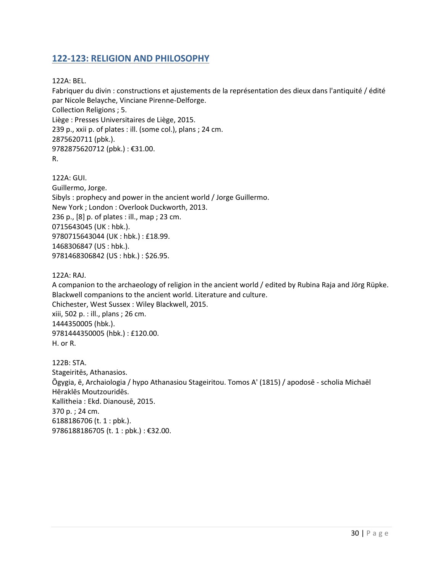## <span id="page-29-0"></span>**122-123: RELIGION AND PHILOSOPHY**

122A: BEL.

Fabriquer du divin : constructions et ajustements de la représentation des dieux dans l'antiquité / édité par Nicole Belayche, Vinciane Pirenne-Delforge. Collection Religions ; 5. Liège : Presses Universitaires de Liège, 2015. 239 p., xxii p. of plates : ill. (some col.), plans ; 24 cm. 2875620711 (pbk.). 9782875620712 (pbk.) : €31.00.

R.

122A: GUI. Guillermo, Jorge. Sibyls : prophecy and power in the ancient world / Jorge Guillermo. New York ; London : Overlook Duckworth, 2013. 236 p., [8] p. of plates : ill., map ; 23 cm. 0715643045 (UK : hbk.). 9780715643044 (UK : hbk.) : £18.99. 1468306847 (US : hbk.). 9781468306842 (US : hbk.) : \$26.95.

122A: RAJ.

A companion to the archaeology of religion in the ancient world / edited by Rubina Raja and Jörg Rüpke. Blackwell companions to the ancient world. Literature and culture. Chichester, West Sussex : Wiley Blackwell, 2015. xiii, 502 p. : ill., plans ; 26 cm. 1444350005 (hbk.). 9781444350005 (hbk.) : £120.00. H. or R.

122B: STA. Stageiritēs, Athanasios. Ōgygia, ē, Archaiologia / hypo Athanasiou Stageiritou. Tomos A' (1815) / apodosē - scholia Michaēl Hēraklēs Moutzouridēs. Kallitheia : Ekd. Dianousē, 2015. 370 p. ; 24 cm. 6188186706 (t. 1 : pbk.). 9786188186705 (t. 1 : pbk.) : €32.00.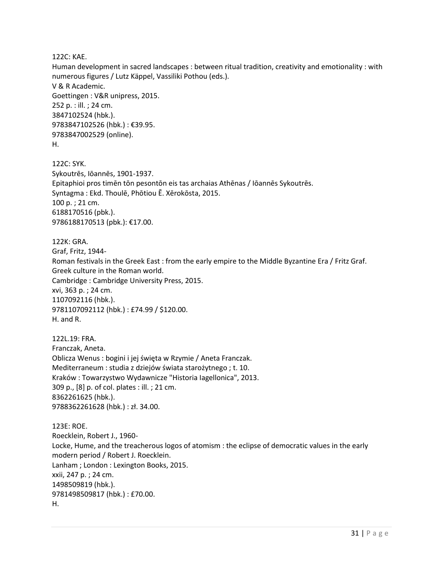122C: KAE.

Human development in sacred landscapes : between ritual tradition, creativity and emotionality : with numerous figures / Lutz Käppel, Vassiliki Pothou (eds.). V & R Academic. Goettingen : V&R unipress, 2015. 252 p. : ill. ; 24 cm. 3847102524 (hbk.). 9783847102526 (hbk.) : €39.95. 9783847002529 (online). H.

122C: SYK. Sykoutrēs, Iōannēs, 1901-1937. Epitaphioi pros timēn tōn pesontōn eis tas archaias Athēnas / Iōannēs Sykoutrēs. Syntagma : Ekd. Thoulē, Phōtiou Ē. Xērokōsta, 2015. 100 p. ; 21 cm. 6188170516 (pbk.). 9786188170513 (pbk.): €17.00.

122K: GRA. Graf, Fritz, 1944- Roman festivals in the Greek East : from the early empire to the Middle Byzantine Era / Fritz Graf. Greek culture in the Roman world. Cambridge : Cambridge University Press, 2015. xvi, 363 p. ; 24 cm. 1107092116 (hbk.). 9781107092112 (hbk.) : £74.99 / \$120.00. H. and R.

122L.19: FRA. Franczak, Aneta. Oblicza Wenus : bogini i jej święta w Rzymie / Aneta Franczak. Mediterraneum : studia z dziejów świata starożytnego ; t. 10. Kraków : Towarzystwo Wydawnicze "Historia Iagellonica", 2013. 309 p., [8] p. of col. plates : ill. ; 21 cm. 8362261625 (hbk.). 9788362261628 (hbk.) : zł. 34.00.

123E: ROE. Roecklein, Robert J., 1960- Locke, Hume, and the treacherous logos of atomism : the eclipse of democratic values in the early modern period / Robert J. Roecklein. Lanham ; London : Lexington Books, 2015. xxii, 247 p. ; 24 cm. 1498509819 (hbk.). 9781498509817 (hbk.) : £70.00. H.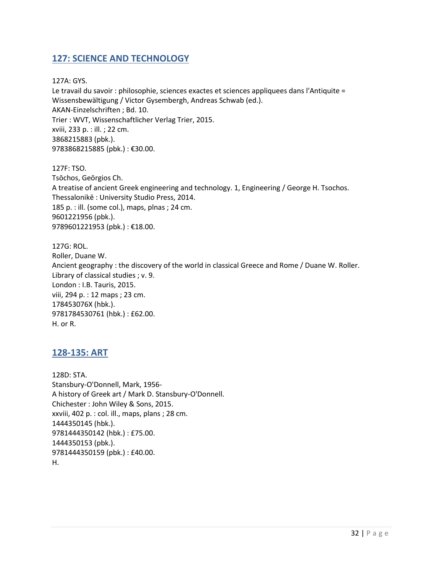#### <span id="page-31-0"></span>**127: SCIENCE AND TECHNOLOGY**

127A: GYS. Le travail du savoir : philosophie, sciences exactes et sciences appliquees dans l'Antiquite = Wissensbewältigung / Victor Gysembergh, Andreas Schwab (ed.). AKAN-Einzelschriften ; Bd. 10. Trier : WVT, Wissenschaftlicher Verlag Trier, 2015. xviii, 233 p. : ill. ; 22 cm. 3868215883 (pbk.). 9783868215885 (pbk.) : €30.00.

127F: TSO. Tsōchos, Geōrgios Ch. A treatise of ancient Greek engineering and technology. 1, Engineering / George H. Tsochos. Thessalonikē : University Studio Press, 2014. 185 p. : ill. (some col.), maps, plnas ; 24 cm. 9601221956 (pbk.). 9789601221953 (pbk.) : €18.00.

127G: ROL. Roller, Duane W. Ancient geography : the discovery of the world in classical Greece and Rome / Duane W. Roller. Library of classical studies ; v. 9. London : I.B. Tauris, 2015. viii, 294 p. : 12 maps ; 23 cm. 178453076X (hbk.). 9781784530761 (hbk.) : £62.00. H. or R.

#### <span id="page-31-1"></span>**128-135: ART**

128D: STA. Stansbury-O'Donnell, Mark, 1956- A history of Greek art / Mark D. Stansbury-O'Donnell. Chichester : John Wiley & Sons, 2015. xxviii, 402 p. : col. ill., maps, plans ; 28 cm. 1444350145 (hbk.). 9781444350142 (hbk.) : £75.00. 1444350153 (pbk.). 9781444350159 (pbk.) : £40.00. H.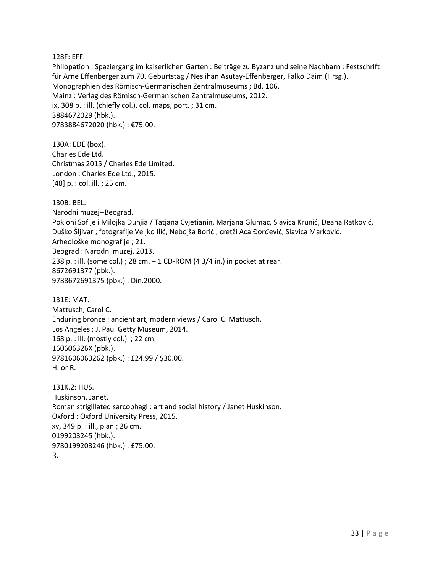#### 128F: EFF.

Philopation : Spaziergang im kaiserlichen Garten : Beiträge zu Byzanz und seine Nachbarn : Festschrift für Arne Effenberger zum 70. Geburtstag / Neslihan Asutay-Effenberger, Falko Daim (Hrsg.). Monographien des Römisch-Germanischen Zentralmuseums ; Bd. 106. Mainz : Verlag des Römisch-Germanischen Zentralmuseums, 2012. ix, 308 p. : ill. (chiefly col.), col. maps, port. ; 31 cm. 3884672029 (hbk.). 9783884672020 (hbk.) : €75.00.

130A: EDE (box). Charles Ede Ltd. Christmas 2015 / Charles Ede Limited. London : Charles Ede Ltd., 2015. [48] p. : col. ill. ; 25 cm.

130B: BEL. Narodni muzej--Beograd. Pokloni Sofije i Milojka Dunjia / Tatjana Cvjetianin, Marjana Glumac, Slavica Krunić, Deana Ratković, Duško Šljivar ; fotografije Veljko Ilić, Nebojša Borić ; cretži Aca Đorđević, Slavica Marković. Arheološke monografije ; 21. Beograd : Narodni muzej, 2013. 238 p. : ill. (some col.) ; 28 cm. + 1 CD-ROM (4 3/4 in.) in pocket at rear. 8672691377 (pbk.). 9788672691375 (pbk.) : Din.2000.

131E: MAT. Mattusch, Carol C. Enduring bronze : ancient art, modern views / Carol C. Mattusch. Los Angeles : J. Paul Getty Museum, 2014. 168 p. : ill. (mostly col.) ; 22 cm. 160606326X (pbk.). 9781606063262 (pbk.) : £24.99 / \$30.00. H. or R.

131K.2: HUS. Huskinson, Janet. Roman strigillated sarcophagi : art and social history / Janet Huskinson. Oxford : Oxford University Press, 2015. xv, 349 p. : ill., plan ; 26 cm. 0199203245 (hbk.). 9780199203246 (hbk.) : £75.00. R.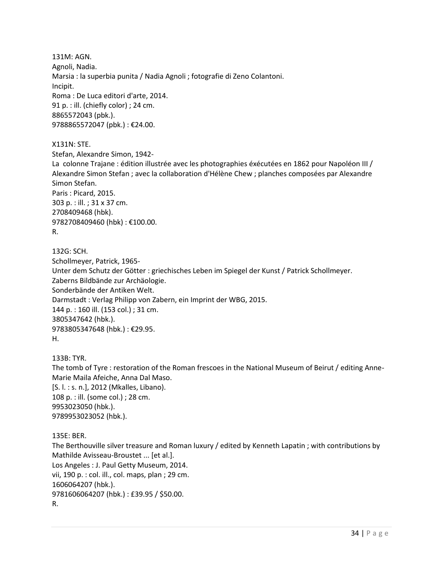131M: AGN. Agnoli, Nadia. Marsia : la superbia punita / Nadia Agnoli ; fotografie di Zeno Colantoni. Incipit. Roma : De Luca editori d'arte, 2014. 91 p. : ill. (chiefly color) ; 24 cm. 8865572043 (pbk.). 9788865572047 (pbk.) : €24.00.

X131N: STE.

Stefan, Alexandre Simon, 1942- La colonne Trajane : édition illustrée avec les photographies éxécutées en 1862 pour Napoléon III / Alexandre Simon Stefan ; avec la collaboration d'Hélène Chew ; planches composées par Alexandre Simon Stefan. Paris : Picard, 2015. 303 p. : ill. ; 31 x 37 cm. 2708409468 (hbk). 9782708409460 (hbk) : €100.00. R.

132G: SCH. Schollmeyer, Patrick, 1965- Unter dem Schutz der Götter : griechisches Leben im Spiegel der Kunst / Patrick Schollmeyer. Zaberns Bildbände zur Archäologie. Sonderbände der Antiken Welt. Darmstadt : Verlag Philipp von Zabern, ein Imprint der WBG, 2015. 144 p. : 160 ill. (153 col.) ; 31 cm. 3805347642 (hbk.). 9783805347648 (hbk.) : €29.95. H.

133B: TYR.

The tomb of Tyre : restoration of the Roman frescoes in the National Museum of Beirut / editing Anne-Marie Maila Afeiche, Anna Dal Maso. [S. l. : s. n.], 2012 (Mkalles, Libano). 108 p. : ill. (some col.) ; 28 cm. 9953023050 (hbk.). 9789953023052 (hbk.).

135E: BER.

The Berthouville silver treasure and Roman luxury / edited by Kenneth Lapatin ; with contributions by Mathilde Avisseau-Broustet ... [et al.]. Los Angeles : J. Paul Getty Museum, 2014. vii, 190 p. : col. ill., col. maps, plan ; 29 cm. 1606064207 (hbk.). 9781606064207 (hbk.) : £39.95 / \$50.00. R.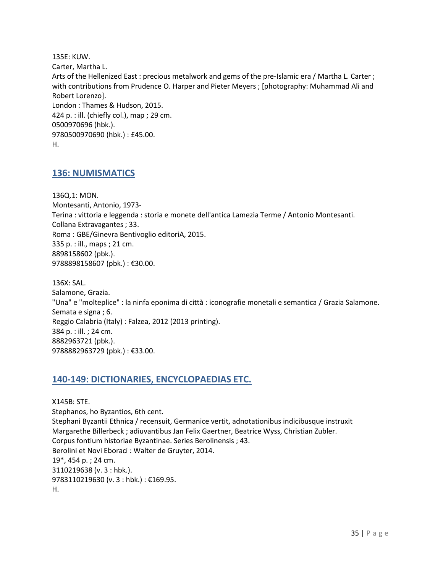135E: KUW. Carter, Martha L. Arts of the Hellenized East : precious metalwork and gems of the pre-Islamic era / Martha L. Carter ; with contributions from Prudence O. Harper and Pieter Meyers ; [photography: Muhammad Ali and Robert Lorenzo]. London : Thames & Hudson, 2015. 424 p. : ill. (chiefly col.), map ; 29 cm. 0500970696 (hbk.). 9780500970690 (hbk.) : £45.00. H.

#### <span id="page-34-0"></span>**136: NUMISMATICS**

136Q.1: MON. Montesanti, Antonio, 1973- Terina : vittoria e leggenda : storia e monete dell'antica Lamezia Terme / Antonio Montesanti. Collana Extravagantes ; 33. Roma : GBE/Ginevra Bentivoglio editoriA, 2015. 335 p. : ill., maps ; 21 cm. 8898158602 (pbk.). 9788898158607 (pbk.) : €30.00.

136X: SAL. Salamone, Grazia. "Una" e "molteplice" : la ninfa eponima di città : iconografie monetali e semantica / Grazia Salamone. Semata e signa ; 6. Reggio Calabria (Italy) : Falzea, 2012 (2013 printing). 384 p. : ill. ; 24 cm. 8882963721 (pbk.). 9788882963729 (pbk.) : €33.00.

#### <span id="page-34-1"></span>**140-149: DICTIONARIES, ENCYCLOPAEDIAS ETC.**

X145B: STE. Stephanos, ho Byzantios, 6th cent. Stephani Byzantii Ethnica / recensuit, Germanice vertit, adnotationibus indicibusque instruxit Margarethe Billerbeck ; adiuvantibus Jan Felix Gaertner, Beatrice Wyss, Christian Zubler. Corpus fontium historiae Byzantinae. Series Berolinensis ; 43. Berolini et Novi Eboraci : Walter de Gruyter, 2014. 19\*, 454 p. ; 24 cm. 3110219638 (v. 3 : hbk.). 9783110219630 (v. 3 : hbk.) : €169.95. H.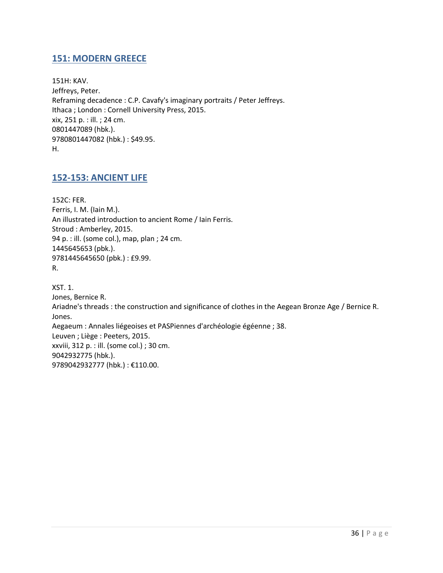## <span id="page-35-0"></span>**151: MODERN GREECE**

151H: KAV. Jeffreys, Peter. Reframing decadence : C.P. Cavafy's imaginary portraits / Peter Jeffreys. Ithaca ; London : Cornell University Press, 2015. xix, 251 p. : ill. ; 24 cm. 0801447089 (hbk.). 9780801447082 (hbk.) : \$49.95. H.

#### <span id="page-35-1"></span>**152-153: ANCIENT LIFE**

152C: FER. Ferris, I. M. (Iain M.). An illustrated introduction to ancient Rome / Iain Ferris. Stroud : Amberley, 2015. 94 p. : ill. (some col.), map, plan ; 24 cm. 1445645653 (pbk.). 9781445645650 (pbk.) : £9.99. R.

XST. 1. Jones, Bernice R. Ariadne's threads : the construction and significance of clothes in the Aegean Bronze Age / Bernice R. Jones. Aegaeum : Annales liégeoises et PASPiennes d'archéologie égéenne ; 38. Leuven ; Liège : Peeters, 2015. xxviii, 312 p. : ill. (some col.) ; 30 cm. 9042932775 (hbk.). 9789042932777 (hbk.) : €110.00.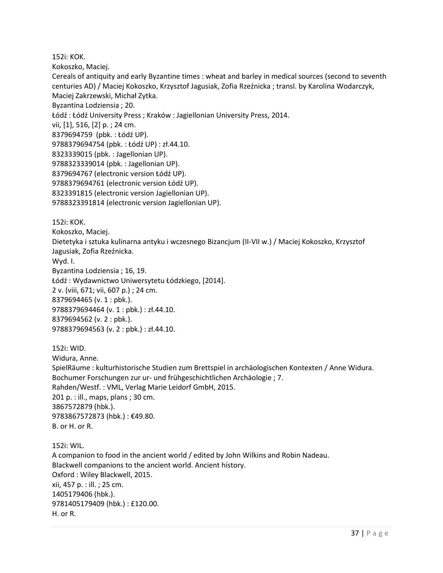152i: KOK.

Kokoszko, Maciej.

Cereals of antiquity and early Byzantine times : wheat and barley in medical sources (second to seventh centuries AD) / Maciej Kokoszko, Krzysztof Jagusiak, Zofia Rzeźnicka ; transl. by Karolina Wodarczyk, Maciej Zakrzewski, Michał Zytka.

Byzantina Lodziensia ; 20.

Łódź : Łódź University Press ; Kraków : Jagiellonian University Press, 2014.

vii, [1], 516, [2] p. ; 24 cm.

8379694759 (pbk. : Łódź UP).

9788379694754 (pbk. : Łódź UP) : zł.44.10.

8323339015 (pbk. : Jagellonian UP).

9788323339014 (pbk. : Jagellonian UP).

8379694767 (electronic version Łódź UP).

9788379694761 (electronic version Łódź UP).

8323391815 (electronic version Jagiellonian UP).

9788323391814 (electronic version Jagiellonian UP).

152i: KOK.

Kokoszko, Maciej.

Dietetyka i sztuka kulinarna antyku i wczesnego Bizancjum (II-VII w.) / Maciej Kokoszko, Krzysztof Jagusiak, Zofia Rzeźnicka.

Wyd. I.

Byzantina Lodziensia ; 16, 19.

Łódź : Wydawnictwo Uniwersytetu Łódzkiego, [2014].

2 v. (viii, 671; vii, 607 p.) ; 24 cm.

8379694465 (v. 1 : pbk.).

9788379694464 (v. 1 : pbk.) : zł.44.10.

8379694562 (v. 2 : pbk.).

9788379694563 (v. 2 : pbk.) : zł.44.10.

152i: WID.

Widura, Anne.

SpielRäume : kulturhistorische Studien zum Brettspiel in archäologischen Kontexten / Anne Widura. Bochumer Forschungen zur ur- und frühgeschichtlichen Archäologie ; 7. Rahden/Westf. : VML, Verlag Marie Leidorf GmbH, 2015. 201 p. : ill., maps, plans ; 30 cm. 3867572879 (hbk.). 9783867572873 (hbk.) : €49.80. B. or H. or R.

152i: WIL.

A companion to food in the ancient world / edited by John Wilkins and Robin Nadeau. Blackwell companions to the ancient world. Ancient history. Oxford : Wiley Blackwell, 2015. xii, 457 p. : ill. ; 25 cm. 1405179406 (hbk.). 9781405179409 (hbk.) : £120.00. H. or R.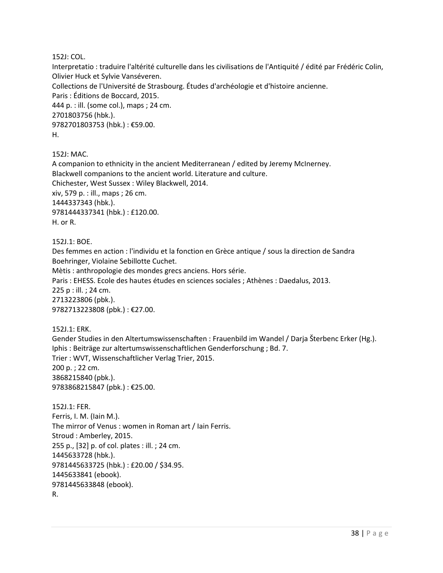152J: COL.

Interpretatio : traduire l'altérité culturelle dans les civilisations de l'Antiquité / édité par Frédéric Colin, Olivier Huck et Sylvie Vanséveren. Collections de l'Université de Strasbourg. Études d'archéologie et d'histoire ancienne. Paris : Éditions de Boccard, 2015. 444 p. : ill. (some col.), maps ; 24 cm. 2701803756 (hbk.). 9782701803753 (hbk.) : €59.00. H.

152J: MAC.

A companion to ethnicity in the ancient Mediterranean / edited by Jeremy McInerney. Blackwell companions to the ancient world. Literature and culture. Chichester, West Sussex : Wiley Blackwell, 2014. xiv, 579 p. : ill., maps ; 26 cm. 1444337343 (hbk.). 9781444337341 (hbk.) : £120.00. H. or R.

152J.1: BOE.

Des femmes en action : l'individu et la fonction en Grèce antique / sous la direction de Sandra Boehringer, Violaine Sebillotte Cuchet.

Mètis : anthropologie des mondes grecs anciens. Hors série.

Paris : EHESS. Ecole des hautes études en sciences sociales ; Athènes : Daedalus, 2013. 225 p : ill. ; 24 cm. 2713223806 (pbk.).

9782713223808 (pbk.) : €27.00.

152J.1: ERK. Gender Studies in den Altertumswissenschaften : Frauenbild im Wandel / Darja Šterbenc Erker (Hg.). Iphis : Beiträge zur altertumswissenschaftlichen Genderforschung ; Bd. 7. Trier : WVT, Wissenschaftlicher Verlag Trier, 2015. 200 p. ; 22 cm. 3868215840 (pbk.). 9783868215847 (pbk.) : €25.00.

152J.1: FER. Ferris, I. M. (Iain M.). The mirror of Venus : women in Roman art / Iain Ferris. Stroud : Amberley, 2015. 255 p., [32] p. of col. plates : ill. ; 24 cm. 1445633728 (hbk.). 9781445633725 (hbk.) : £20.00 / \$34.95. 1445633841 (ebook). 9781445633848 (ebook). R.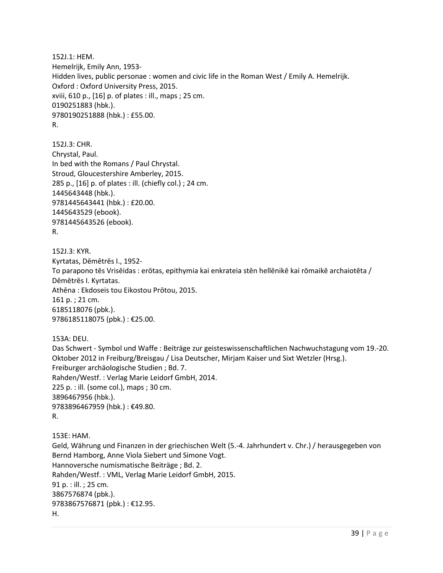152J.1: HEM. Hemelrijk, Emily Ann, 1953- Hidden lives, public personae : women and civic life in the Roman West / Emily A. Hemelrijk. Oxford : Oxford University Press, 2015. xviii, 610 p., [16] p. of plates : ill., maps ; 25 cm. 0190251883 (hbk.). 9780190251888 (hbk.) : £55.00. R.

152J.3: CHR. Chrystal, Paul. In bed with the Romans / Paul Chrystal. Stroud, Gloucestershire Amberley, 2015. 285 p., [16] p. of plates : ill. (chiefly col.) ; 24 cm. 1445643448 (hbk.). 9781445643441 (hbk.) : £20.00. 1445643529 (ebook). 9781445643526 (ebook). R.

152J.3: KYR. Kyrtatas, Dēmētrēs I., 1952- To parapono tēs Vrisēidas : erōtas, epithymia kai enkrateia stēn hellēnikē kai rōmaikē archaiotēta / Dēmētrēs I. Kyrtatas. Athēna : Ekdoseis tou Eikostou Prōtou, 2015. 161 p. ; 21 cm. 6185118076 (pbk.). 9786185118075 (pbk.) : €25.00.

153A: DEU.

Das Schwert - Symbol und Waffe : Beiträge zur geisteswissenschaftlichen Nachwuchstagung vom 19.-20. Oktober 2012 in Freiburg/Breisgau / Lisa Deutscher, Mirjam Kaiser und Sixt Wetzler (Hrsg.). Freiburger archäologische Studien ; Bd. 7. Rahden/Westf. : Verlag Marie Leidorf GmbH, 2014. 225 p. : ill. (some col.), maps ; 30 cm. 3896467956 (hbk.). 9783896467959 (hbk.) : €49.80. R.

153E: HAM. Geld, Währung und Finanzen in der griechischen Welt (5.-4. Jahrhundert v. Chr.) / herausgegeben von Bernd Hamborg, Anne Viola Siebert und Simone Vogt. Hannoversche numismatische Beiträge ; Bd. 2. Rahden/Westf. : VML, Verlag Marie Leidorf GmbH, 2015. 91 p. : ill. ; 25 cm. 3867576874 (pbk.). 9783867576871 (pbk.) : €12.95. H.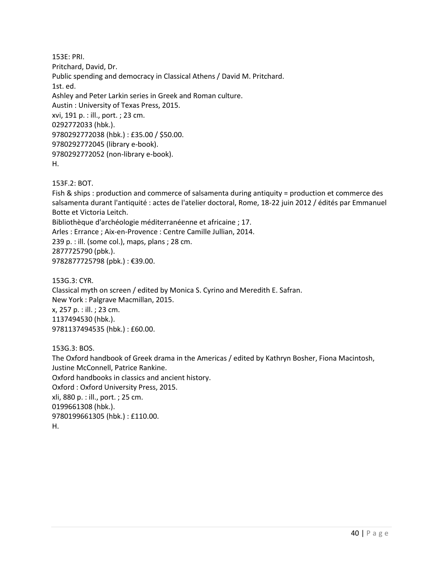153E: PRI. Pritchard, David, Dr. Public spending and democracy in Classical Athens / David M. Pritchard. 1st. ed. Ashley and Peter Larkin series in Greek and Roman culture. Austin : University of Texas Press, 2015. xvi, 191 p. : ill., port. ; 23 cm. 0292772033 (hbk.). 9780292772038 (hbk.) : £35.00 / \$50.00. 9780292772045 (library e-book). 9780292772052 (non-library e-book). H.

153F.2: BOT.

Fish & ships : production and commerce of salsamenta during antiquity = production et commerce des salsamenta durant l'antiquité : actes de l'atelier doctoral, Rome, 18-22 juin 2012 / édités par Emmanuel Botte et Victoria Leitch. Bibliothèque d'archéologie méditerranéenne et africaine ; 17.

Arles : Errance ; Aix-en-Provence : Centre Camille Jullian, 2014.

239 p. : ill. (some col.), maps, plans ; 28 cm. 2877725790 (pbk.).

9782877725798 (pbk.) : €39.00.

153G.3: CYR. Classical myth on screen / edited by Monica S. Cyrino and Meredith E. Safran. New York : Palgrave Macmillan, 2015. x, 257 p. : ill. ; 23 cm. 1137494530 (hbk.). 9781137494535 (hbk.) : £60.00.

153G.3: BOS. The Oxford handbook of Greek drama in the Americas / edited by Kathryn Bosher, Fiona Macintosh, Justine McConnell, Patrice Rankine. Oxford handbooks in classics and ancient history. Oxford : Oxford University Press, 2015. xli, 880 p. : ill., port. ; 25 cm. 0199661308 (hbk.). 9780199661305 (hbk.) : £110.00. H.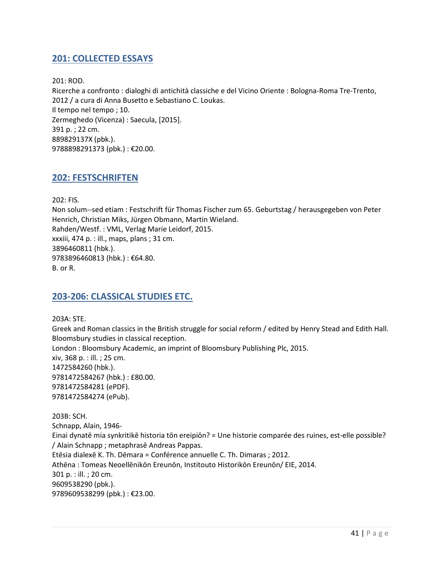## <span id="page-40-0"></span>**201: COLLECTED ESSAYS**

201: ROD.

Ricerche a confronto : dialoghi di antichità classiche e del Vicino Oriente : Bologna-Roma Tre-Trento, 2012 / a cura di Anna Busetto e Sebastiano C. Loukas. Il tempo nel tempo ; 10. Zermeghedo (Vicenza) : Saecula, [2015]. 391 p. ; 22 cm. 889829137X (pbk.). 9788898291373 (pbk.) : €20.00.

#### <span id="page-40-1"></span>**202: FESTSCHRIFTEN**

202: FIS.

Non solum--sed etiam : Festschrift für Thomas Fischer zum 65. Geburtstag / herausgegeben von Peter Henrich, Christian Miks, Jürgen Obmann, Martin Wieland. Rahden/Westf. : VML, Verlag Marie Leidorf, 2015. xxxiii, 474 p. : ill., maps, plans ; 31 cm. 3896460811 (hbk.). 9783896460813 (hbk.) : €64.80. B. or R.

#### <span id="page-40-2"></span>**203-206: CLASSICAL STUDIES ETC.**

203A: STE.

Greek and Roman classics in the British struggle for social reform / edited by Henry Stead and Edith Hall. Bloomsbury studies in classical reception. London : Bloomsbury Academic, an imprint of Bloomsbury Publishing Plc, 2015. xiv, 368 p. : ill. ; 25 cm. 1472584260 (hbk.). 9781472584267 (hbk.) : £80.00. 9781472584281 (ePDF). 9781472584274 (ePub).

203B: SCH. Schnapp, Alain, 1946- Einai dynatē mia synkritikē historia tōn ereipiōn? = Une historie comparée des ruines, est-elle possible? / Alain Schnapp ; metaphrasē Andreas Pappas. Etēsia dialexē K. Th. Dēmara = Conférence annuelle C. Th. Dimaras ; 2012. Athēna : Tomeas Neoellēnikōn Ereunōn, Institouto Historikōn Ereunōn/ EIE, 2014. 301 p. : ill. ; 20 cm. 9609538290 (pbk.). 9789609538299 (pbk.) : €23.00.